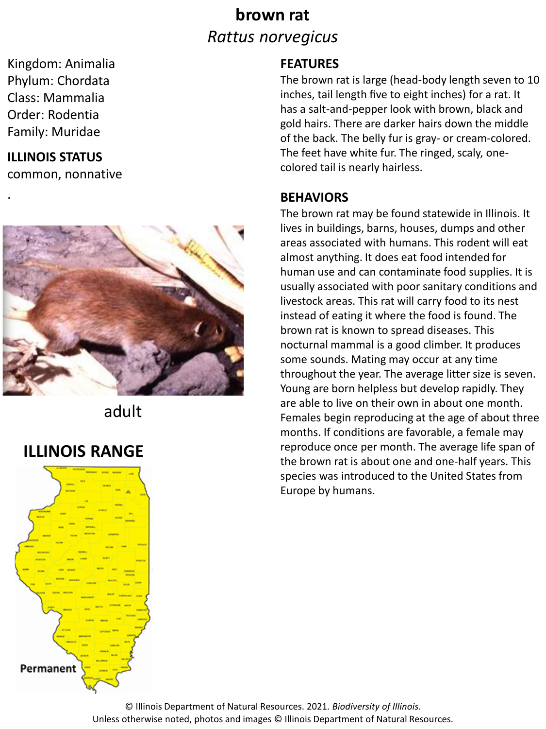## **brown rat** *Rattus norvegicus*

Kingdom: Animalia Phylum: Chordata Class: Mammalia Order: Rodentia Family: Muridae

#### **ILLINOIS STATUS**

.

common, nonnative



adult

### **ILLINOIS RANGE**



#### **FEATURES**

The brown rat is large (head-body length seven to 10 inches, tail length five to eight inches) for a rat. It has a salt-and-pepper look with brown, black and gold hairs. There are darker hairs down the middle of the back. The belly fur is gray- or cream-colored. The feet have white fur. The ringed, scaly, onecolored tail is nearly hairless.

#### **BEHAVIORS**

The brown rat may be found statewide in Illinois. It lives in buildings, barns, houses, dumps and other areas associated with humans. This rodent will eat almost anything. It does eat food intended for human use and can contaminate food supplies. It is usually associated with poor sanitary conditions and livestock areas. This rat will carry food to its nest instead of eating it where the food is found. The brown rat is known to spread diseases. This nocturnal mammal is a good climber. It produces some sounds. Mating may occur at any time throughout the year. The average litter size is seven. Young are born helpless but develop rapidly. They are able to live on their own in about one month. Females begin reproducing at the age of about three months. If conditions are favorable, a female may reproduce once per month. The average life span of the brown rat is about one and one-half years. This species was introduced to the United States from Europe by humans.

© Illinois Department of Natural Resources. 2021. *Biodiversity of Illinois*. Unless otherwise noted, photos and images © Illinois Department of Natural Resources.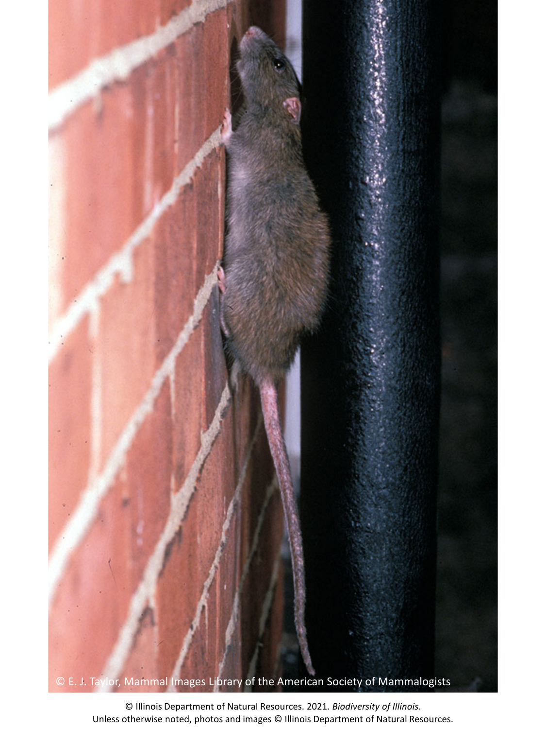

© Illinois Department of Natural Resources. 2021. *Biodiversity of Illinois*. Unless otherwise noted, photos and images © Illinois Department of Natural Resources.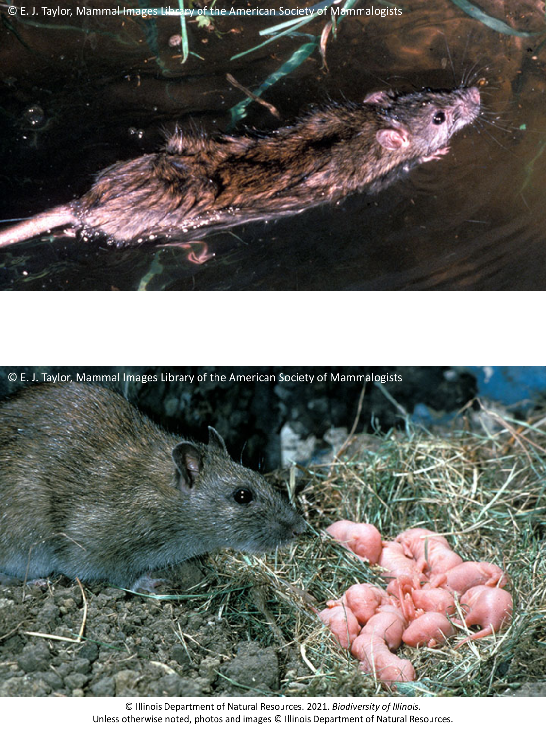

© E. J. Taylor, Mammal Images Library of the American Society of Mammalogists



© Illinois Department of Natural Resources. 2021. *Biodiversity of Illinois*. Unless otherwise noted, photos and images © Illinois Department of Natural Resources.